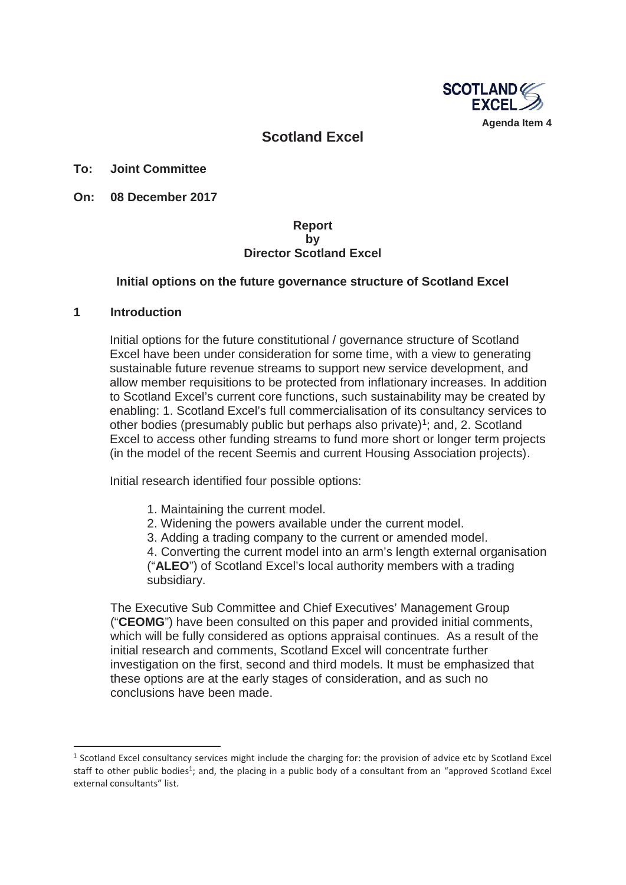

## **Scotland Excel**

**To: Joint Committee**

**On: 08 December 2017** 

### **Report by Director Scotland Excel**

### **Initial options on the future governance structure of Scotland Excel**

#### **1 Introduction**

**.** 

Initial options for the future constitutional / governance structure of Scotland Excel have been under consideration for some time, with a view to generating sustainable future revenue streams to support new service development, and allow member requisitions to be protected from inflationary increases. In addition to Scotland Excel's current core functions, such sustainability may be created by enabling: 1. Scotland Excel's full commercialisation of its consultancy services to other bodies (presumably public but perhaps also private)<sup>1</sup>; and, 2. Scotland Excel to access other funding streams to fund more short or longer term projects (in the model of the recent Seemis and current Housing Association projects).

Initial research identified four possible options:

- 1. Maintaining the current model.
- 2. Widening the powers available under the current model.
- 3. Adding a trading company to the current or amended model.

4. Converting the current model into an arm's length external organisation ("**ALEO**") of Scotland Excel's local authority members with a trading subsidiary.

The Executive Sub Committee and Chief Executives' Management Group ("**CEOMG**") have been consulted on this paper and provided initial comments, which will be fully considered as options appraisal continues. As a result of the initial research and comments, Scotland Excel will concentrate further investigation on the first, second and third models. It must be emphasized that these options are at the early stages of consideration, and as such no conclusions have been made.

<sup>&</sup>lt;sup>1</sup> Scotland Excel consultancy services might include the charging for: the provision of advice etc by Scotland Excel staff to other public bodies<sup>1</sup>; and, the placing in a public body of a consultant from an "approved Scotland Excel external consultants" list.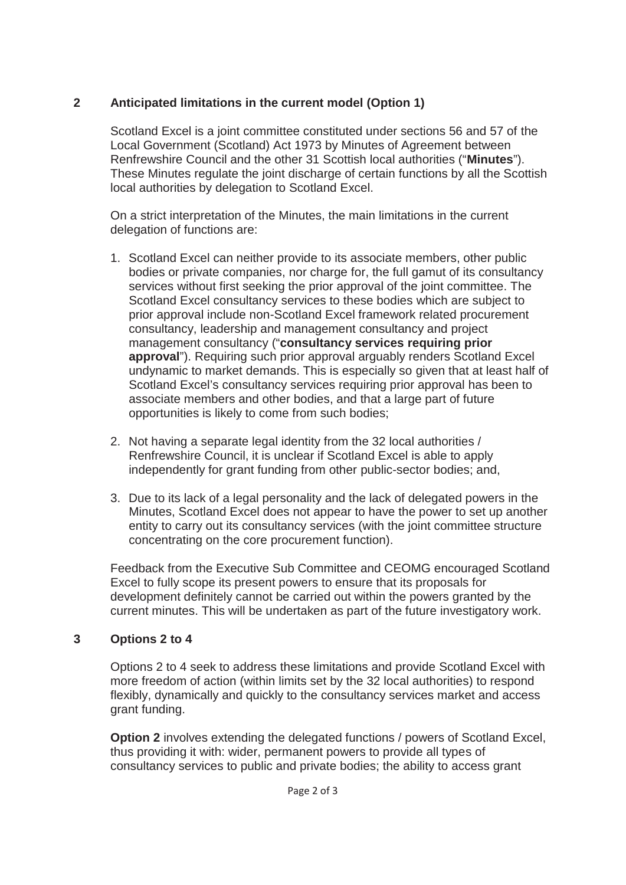# **2 Anticipated limitations in the current model (Option 1)**

Scotland Excel is a joint committee constituted under sections 56 and 57 of the Local Government (Scotland) Act 1973 by Minutes of Agreement between Renfrewshire Council and the other 31 Scottish local authorities ("**Minutes**"). These Minutes regulate the joint discharge of certain functions by all the Scottish local authorities by delegation to Scotland Excel.

On a strict interpretation of the Minutes, the main limitations in the current delegation of functions are:

- 1. Scotland Excel can neither provide to its associate members, other public bodies or private companies, nor charge for, the full gamut of its consultancy services without first seeking the prior approval of the joint committee. The Scotland Excel consultancy services to these bodies which are subject to prior approval include non-Scotland Excel framework related procurement consultancy, leadership and management consultancy and project management consultancy ("**consultancy services requiring prior approval**"). Requiring such prior approval arguably renders Scotland Excel undynamic to market demands. This is especially so given that at least half of Scotland Excel's consultancy services requiring prior approval has been to associate members and other bodies, and that a large part of future opportunities is likely to come from such bodies;
- 2. Not having a separate legal identity from the 32 local authorities / Renfrewshire Council, it is unclear if Scotland Excel is able to apply independently for grant funding from other public-sector bodies; and,
- 3. Due to its lack of a legal personality and the lack of delegated powers in the Minutes, Scotland Excel does not appear to have the power to set up another entity to carry out its consultancy services (with the joint committee structure concentrating on the core procurement function).

Feedback from the Executive Sub Committee and CEOMG encouraged Scotland Excel to fully scope its present powers to ensure that its proposals for development definitely cannot be carried out within the powers granted by the current minutes. This will be undertaken as part of the future investigatory work.

## **3 Options 2 to 4**

Options 2 to 4 seek to address these limitations and provide Scotland Excel with more freedom of action (within limits set by the 32 local authorities) to respond flexibly, dynamically and quickly to the consultancy services market and access grant funding.

**Option 2** involves extending the delegated functions / powers of Scotland Excel. thus providing it with: wider, permanent powers to provide all types of consultancy services to public and private bodies; the ability to access grant